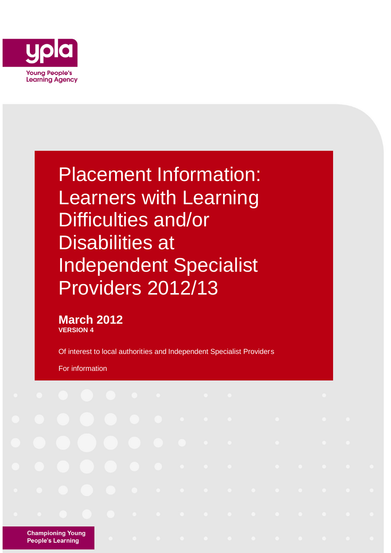

Placement Information: Learners with Learning Difficulties and/or Disabilities at Independent Specialist Providers 2012/13

**March 2012 VERSION 4**

Of interest to local authorities and Independent Specialist Providers

For information

**Championing Young People's Learning**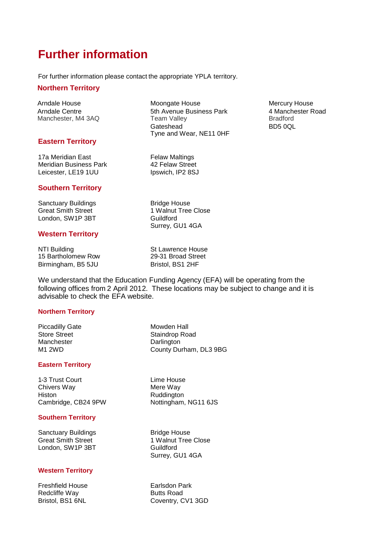## **Further information**

For further information please contact the appropriate YPLA territory.

#### **Northern Territory**

Arndale House **Moongate House** Moongate House Mercury House Arndale Centre **5th Avenue Business Park** 4 Manchester Road Manchester Road<br>Manchester, M4 3AQ Team Valley **Frankling** Bradford Manchester, M4 3AQ

#### **Eastern Territory**

17a Meridian East **Felaw Maltings** Meridian Business Park 42 Felaw Street Leicester, LE19 1UU Ipswich, IP2 8SJ

#### **Southern Territory**

Sanctuary Buildings **Bridge House** Great Smith Street 1 Walnut Tree Close London, SW1P 3BT Guildford

#### **Western Territory**

NTI Building St Lawrence House<br>15 Bartholomew Row 29-31 Broad Street 15 Bartholomew Row Birmingham, B5 5JU Bristol, BS1 2HF

Surrey, GU1 4GA

Tyne and Wear, NE11 0HF

We understand that the Education Funding Agency (EFA) will be operating from the following offices from 2 April 2012. These locations may be subject to change and it is advisable to check the EFA website.

#### **Northern Territory**

Piccadilly Gate Mowden Hall Manchester **Darlington** 

#### **Eastern Territory**

1-3 Trust Court **Lime House** Chivers Way **Mere Way** Mere Way Histon Ruddington Cambridge, CB24 9PW Nottingham, NG11 6JS

#### **Southern Territory**

Sanctuary Buildings **Bridge House** Great Smith Street 1 Walnut Tree Close London, SW1P 3BT Guildford

#### **Western Territory**

Freshfield House **Earlsdon Park** Redcliffe Way **Butts Road** 

Store Street Staindrop Road M1 2WD County Durham, DL3 9BG

Surrey, GU1 4GA

Bristol, BS1 6NL Coventry, CV1 3GD

Gateshead BD5 0QL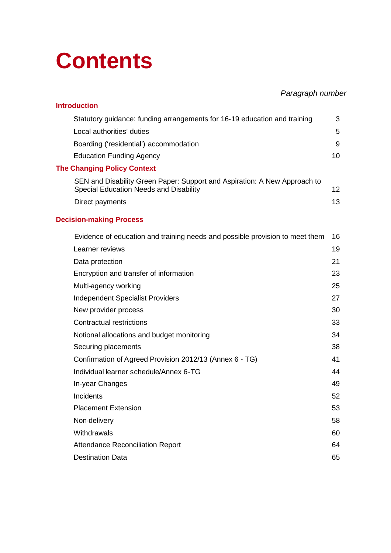## **Contents**

### *Paragraph number*

| <b>Introduction</b>                                                                                                 |                 |
|---------------------------------------------------------------------------------------------------------------------|-----------------|
| Statutory guidance: funding arrangements for 16-19 education and training                                           | 3               |
| Local authorities' duties                                                                                           | 5               |
| Boarding ('residential') accommodation                                                                              | 9               |
| <b>Education Funding Agency</b>                                                                                     | 10              |
| <b>The Changing Policy Context</b>                                                                                  |                 |
| SEN and Disability Green Paper: Support and Aspiration: A New Approach to<br>Special Education Needs and Disability | 12 <sub>2</sub> |
| Direct payments                                                                                                     | 13              |
| <b>Decision-making Process</b>                                                                                      |                 |
| Evidence of education and training needs and possible provision to meet them                                        | 16              |
| Learner reviews                                                                                                     | 19              |
| Data protection                                                                                                     | 21              |
| Encryption and transfer of information                                                                              | 23              |
| Multi-agency working                                                                                                | 25              |
| <b>Independent Specialist Providers</b>                                                                             | 27              |
| New provider process                                                                                                | 30              |
| <b>Contractual restrictions</b>                                                                                     | 33              |
| Notional allocations and budget monitoring                                                                          | 34              |
| Securing placements                                                                                                 | 38              |
| Confirmation of Agreed Provision 2012/13 (Annex 6 - TG)                                                             | 41              |
| Individual learner schedule/Annex 6-TG                                                                              | 44              |
| In-year Changes                                                                                                     | 49              |
| Incidents                                                                                                           | 52              |
| <b>Placement Extension</b>                                                                                          | 53              |
| Non-delivery                                                                                                        | 58              |
| Withdrawals                                                                                                         | 60              |
| <b>Attendance Reconciliation Report</b>                                                                             | 64              |
| <b>Destination Data</b>                                                                                             | 65              |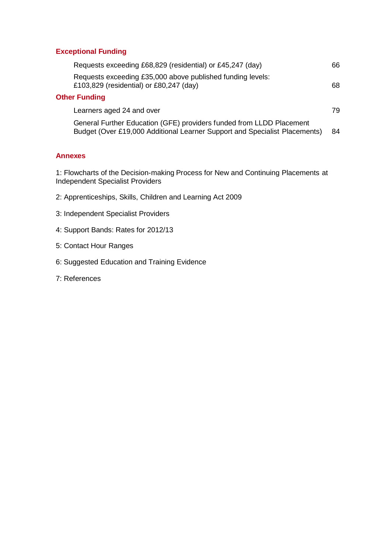#### **Exceptional Funding**

| Requests exceeding £68,829 (residential) or £45,247 (day)                                                                                          | 66. |
|----------------------------------------------------------------------------------------------------------------------------------------------------|-----|
| Requests exceeding £35,000 above published funding levels:<br>£103,829 (residential) or £80,247 (day)                                              | 68. |
| <b>Other Funding</b>                                                                                                                               |     |
| Learners aged 24 and over                                                                                                                          | 79. |
| General Further Education (GFE) providers funded from LLDD Placement<br>Budget (Over £19,000 Additional Learner Support and Specialist Placements) | 84  |

#### **Annexes**

1: Flowcharts of the Decision-making Process for New and Continuing Placements at Independent Specialist Providers

- 2: Apprenticeships, Skills, Children and Learning Act 2009
- 3: Independent Specialist Providers
- 4: Support Bands: Rates for 2012/13
- 5: Contact Hour Ranges
- 6: Suggested Education and Training Evidence
- 7: References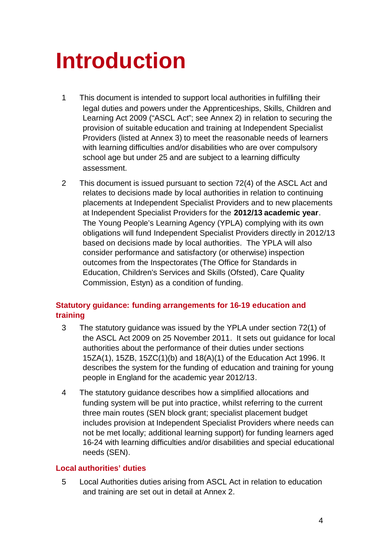## **Introduction**

- 1 This document is intended to support local authorities in fulfilling their legal duties and powers under the Apprenticeships, Skills, Children and Learning Act 2009 ("ASCL Act"; see Annex 2) in relation to securing the provision of suitable education and training at Independent Specialist Providers (listed at Annex 3) to meet the reasonable needs of learners with learning difficulties and/or disabilities who are over compulsory school age but under 25 and are subject to a learning difficulty assessment.
- 2 This document is issued pursuant to section 72(4) of the ASCL Act and relates to decisions made by local authorities in relation to continuing placements at Independent Specialist Providers and to new placements at Independent Specialist Providers for the **2012/13 academic year**. The Young People's Learning Agency (YPLA) complying with its own obligations will fund Independent Specialist Providers directly in 2012/13 based on decisions made by local authorities. The YPLA will also consider performance and satisfactory (or otherwise) inspection outcomes from the Inspectorates (The Office for Standards in Education, Children's Services and Skills (Ofsted), Care Quality Commission, Estyn) as a condition of funding.

#### **Statutory guidance: funding arrangements for 16-19 education and training**

- 3 The statutory guidance was issued by the YPLA under section 72(1) of the ASCL Act 2009 on 25 November 2011. It sets out guidance for local authorities about the performance of their duties under sections 15ZA(1), 15ZB, 15ZC(1)(b) and 18(A)(1) of the Education Act 1996. It describes the system for the funding of education and training for young people in England for the academic year 2012/13.
- 4 The statutory guidance describes how a simplified allocations and funding system will be put into practice, whilst referring to the current three main routes (SEN block grant; specialist placement budget includes provision at Independent Specialist Providers where needs can not be met locally; additional learning support) for funding learners aged 16-24 with learning difficulties and/or disabilities and special educational needs (SEN).

#### **Local authorities' duties**

5 Local Authorities duties arising from ASCL Act in relation to education and training are set out in detail at Annex 2.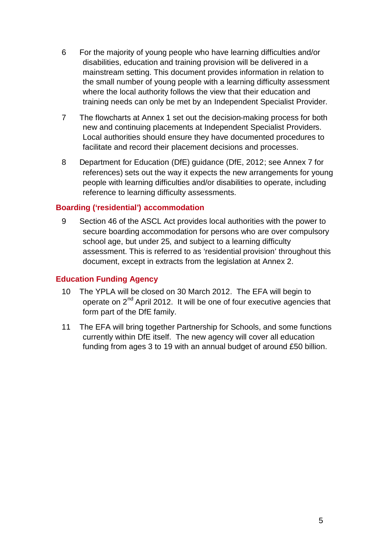- 6 For the majority of young people who have learning difficulties and/or disabilities, education and training provision will be delivered in a mainstream setting. This document provides information in relation to the small number of young people with a learning difficulty assessment where the local authority follows the view that their education and training needs can only be met by an Independent Specialist Provider.
- 7 The flowcharts at Annex 1 set out the decision-making process for both new and continuing placements at Independent Specialist Providers. Local authorities should ensure they have documented procedures to facilitate and record their placement decisions and processes.
- 8 Department for Education (DfE) guidance (DfE, 2012; see Annex 7 for references) sets out the way it expects the new arrangements for young people with learning difficulties and/or disabilities to operate, including reference to learning difficulty assessments.

#### **Boarding ('residential') accommodation**

9 Section 46 of the ASCL Act provides local authorities with the power to secure boarding accommodation for persons who are over compulsory school age, but under 25, and subject to a learning difficulty assessment. This is referred to as 'residential provision' throughout this document, except in extracts from the legislation at Annex 2.

#### **Education Funding Agency**

- 10 The YPLA will be closed on 30 March 2012. The EFA will begin to operate on  $2^{nd}$  April 2012. It will be one of four executive agencies that form part of the DfE family.
- 11 The EFA will bring together Partnership for Schools, and some functions currently within DfE itself. The new agency will cover all education funding from ages 3 to 19 with an annual budget of around £50 billion.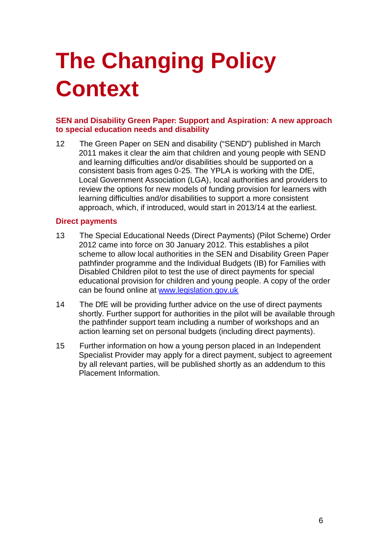# **The Changing Policy Context**

#### **SEN and Disability Green Paper: Support and Aspiration: A new approach to special education needs and disability**

12 The Green Paper on SEN and disability ("SEND") published in March 2011 makes it clear the aim that children and young people with SEND and learning difficulties and/or disabilities should be supported on a consistent basis from ages 0-25. The YPLA is working with the DfE, Local Government Association (LGA), local authorities and providers to review the options for new models of funding provision for learners with learning difficulties and/or disabilities to support a more consistent approach, which, if introduced, would start in 2013/14 at the earliest.

#### **Direct payments**

- 13 The Special Educational Needs (Direct Payments) (Pilot Scheme) Order 2012 came into force on 30 January 2012. This establishes a pilot scheme to allow local authorities in the SEN and Disability Green Paper pathfinder programme and the Individual Budgets (IB) for Families with Disabled Children pilot to test the use of direct payments for special educational provision for children and young people. A copy of the order can be found online at www.legislation.gov.uk
- 14 The DfE will be providing further advice on the use of direct payments shortly. Further support for authorities in the pilot will be available through the pathfinder support team including a number of workshops and an action learning set on personal budgets (including direct payments).
- 15 Further information on how a young person placed in an Independent Specialist Provider may apply for a direct payment, subject to agreement by all relevant parties, will be published shortly as an addendum to this Placement Information.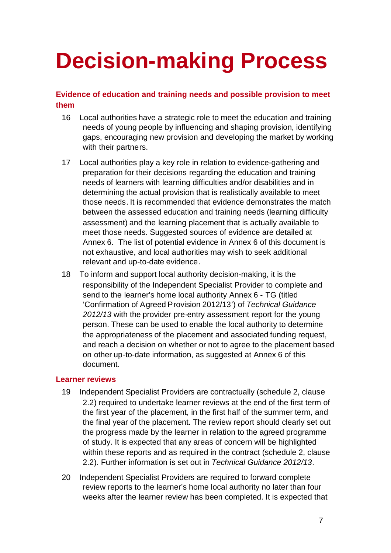## **Decision-making Process**

#### **Evidence of education and training needs and possible provision to meet them**

- 16 Local authorities have a strategic role to meet the education and training needs of young people by influencing and shaping provision, identifying gaps, encouraging new provision and developing the market by working with their partners.
- 17 Local authorities play a key role in relation to evidence-gathering and preparation for their decisions regarding the education and training needs of learners with learning difficulties and/or disabilities and in determining the actual provision that is realistically available to meet those needs. It is recommended that evidence demonstrates the match between the assessed education and training needs (learning difficulty assessment) and the learning placement that is actually available to meet those needs. Suggested sources of evidence are detailed at Annex 6. The list of potential evidence in Annex 6 of this document is not exhaustive, and local authorities may wish to seek additional relevant and up-to-date evidence.
- 18 To inform and support local authority decision-making, it is the responsibility of the Independent Specialist Provider to complete and send to the learner's home local authority Annex 6 - TG (titled 'Confirmation of Agreed Provision 2012/13') of *Technical Guidance 2012/13* with the provider pre-entry assessment report for the young person. These can be used to enable the local authority to determine the appropriateness of the placement and associated funding request, and reach a decision on whether or not to agree to the placement based on other up-to-date information, as suggested at Annex 6 of this document.

#### **Learner reviews**

- 19 Independent Specialist Providers are contractually (schedule 2, clause 2.2) required to undertake learner reviews at the end of the first term of the first year of the placement, in the first half of the summer term, and the final year of the placement. The review report should clearly set out the progress made by the learner in relation to the agreed programme of study. It is expected that any areas of concern will be highlighted within these reports and as required in the contract (schedule 2, clause 2.2). Further information is set out in *Technical Guidance 2012/13*.
- 20 Independent Specialist Providers are required to forward complete review reports to the learner's home local authority no later than four weeks after the learner review has been completed. It is expected that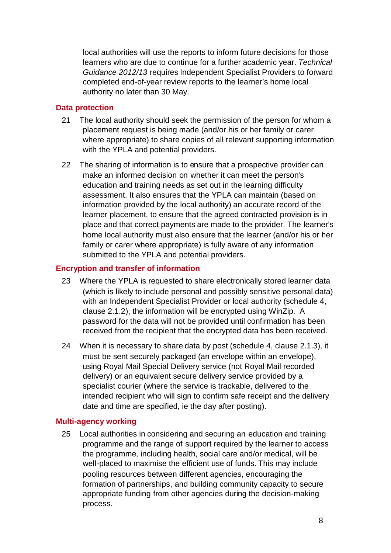local authorities will use the reports to inform future decisions for those learners who are due to continue for a further academic year. *Technical Guidance 2012/13* requires Independent Specialist Providers to forward completed end-of-year review reports to the learner's home local authority no later than 30 May.

#### **Data protection**

- 21 The local authority should seek the permission of the person for whom a placement request is being made (and/or his or her family or carer where appropriate) to share copies of all relevant supporting information with the YPLA and potential providers.
- 22 The sharing of information is to ensure that a prospective provider can make an informed decision on whether it can meet the person's education and training needs as set out in the learning difficulty assessment. It also ensures that the YPLA can maintain (based on information provided by the local authority) an accurate record of the learner placement, to ensure that the agreed contracted provision is in place and that correct payments are made to the provider. The learner's home local authority must also ensure that the learner (and/or his or her family or carer where appropriate) is fully aware of any information submitted to the YPLA and potential providers.

#### **Encryption and transfer of information**

- 23 Where the YPLA is requested to share electronically stored learner data (which is likely to include personal and possibly sensitive personal data) with an Independent Specialist Provider or local authority (schedule 4, clause 2.1.2), the information will be encrypted using WinZip. A password for the data will not be provided until confirmation has been received from the recipient that the encrypted data has been received.
- 24 When it is necessary to share data by post (schedule 4, clause 2.1.3), it must be sent securely packaged (an envelope within an envelope), using Royal Mail Special Delivery service (not Royal Mail recorded delivery) or an equivalent secure delivery service provided by a specialist courier (where the service is trackable, delivered to the intended recipient who will sign to confirm safe receipt and the delivery date and time are specified, ie the day after posting).

#### **Multi-agency working**

25 Local authorities in considering and securing an education and training programme and the range of support required by the learner to access the programme, including health, social care and/or medical, will be well-placed to maximise the efficient use of funds. This may include pooling resources between different agencies, encouraging the formation of partnerships, and building community capacity to secure appropriate funding from other agencies during the decision-making process.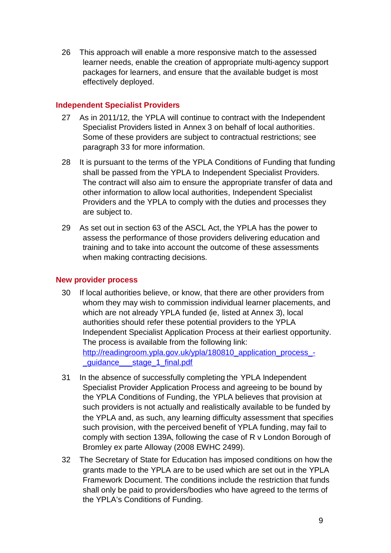26 This approach will enable a more responsive match to the assessed learner needs, enable the creation of appropriate multi-agency support packages for learners, and ensure that the available budget is most effectively deployed.

#### **Independent Specialist Providers**

- 27 As in 2011/12, the YPLA will continue to contract with the Independent Specialist Providers listed in Annex 3 on behalf of local authorities. Some of these providers are subject to contractual restrictions; see paragraph 33 for more information.
- 28 It is pursuant to the terms of the YPLA Conditions of Funding that funding shall be passed from the YPLA to Independent Specialist Providers. The contract will also aim to ensure the appropriate transfer of data and other information to allow local authorities, Independent Specialist Providers and the YPLA to comply with the duties and processes they are subject to.
- 29 As set out in section 63 of the ASCL Act, the YPLA has the power to assess the performance of those providers delivering education and training and to take into account the outcome of these assessments when making contracting decisions.

#### **New provider process**

- 30 If local authorities believe, or know, that there are other providers from whom they may wish to commission individual learner placements, and which are not already YPLA funded (ie, listed at Annex 3), local authorities should refer these potential providers to the YPLA Independent Specialist Application Process at their earliest opportunity. The process is available from the following link: http://readingroom.ypla.gov.uk/ypla/180810\_application\_process\_quidance stage 1 final.pdf
- 31 In the absence of successfully completing the YPLA Independent Specialist Provider Application Process and agreeing to be bound by the YPLA Conditions of Funding, the YPLA believes that provision at such providers is not actually and realistically available to be funded by the YPLA and, as such, any learning difficulty assessment that specifies such provision, with the perceived benefit of YPLA funding, may fail to comply with section 139A, following the case of R v London Borough of Bromley ex parte Alloway (2008 EWHC 2499).
- 32 The Secretary of State for Education has imposed conditions on how the grants made to the YPLA are to be used which are set out in the YPLA Framework Document. The conditions include the restriction that funds shall only be paid to providers/bodies who have agreed to the terms of the YPLA's Conditions of Funding.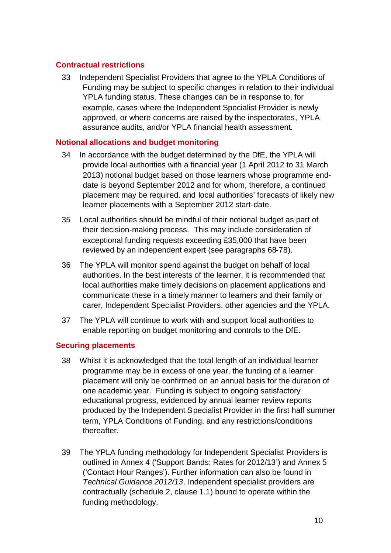#### **Contractual restrictions**

33 Independent Specialist Providers that agree to the YPLA Conditions of Funding may be subject to specific changes in relation to their individual YPLA funding status. These changes can be in response to, for example, cases where the Independent Specialist Provider is newly approved, or where concerns are raised by the inspectorates, YPLA assurance audits, and/or YPLA financial health assessment.

#### **Notional allocations and budget monitoring**

- 34 In accordance with the budget determined by the DfE, the YPLA will provide local authorities with a financial year (1 April 2012 to 31 March 2013) notional budget based on those learners whose programme enddate is beyond September 2012 and for whom, therefore, a continued placement may be required, and local authorities' forecasts of likely new learner placements with a September 2012 start-date.
- 35 Local authorities should be mindful of their notional budget as part of their decision-making process. This may include consideration of exceptional funding requests exceeding £35,000 that have been reviewed by an independent expert (see paragraphs 68-78).
- 36 The YPLA will monitor spend against the budget on behalf of local authorities. In the best interests of the learner, it is recommended that local authorities make timely decisions on placement applications and communicate these in a timely manner to learners and their family or carer, Independent Specialist Providers, other agencies and the YPLA.
- 37 The YPLA will continue to work with and support local authorities to enable reporting on budget monitoring and controls to the DfE.

#### **Securing placements**

- 38 Whilst it is acknowledged that the total length of an individual learner programme may be in excess of one year, the funding of a learner placement will only be confirmed on an annual basis for the duration of one academic year. Funding is subject to ongoing satisfactory educational progress, evidenced by annual learner review reports produced by the Independent Specialist Provider in the first half summer term, YPLA Conditions of Funding, and any restrictions/conditions thereafter.
- 39 The YPLA funding methodology for Independent Specialist Providers is outlined in Annex 4 ('Support Bands: Rates for 2012/13') and Annex 5 ('Contact Hour Ranges'). Further information can also be found in *Technical Guidance 2012/13*. Independent specialist providers are contractually (schedule 2, clause 1.1) bound to operate within the funding methodology.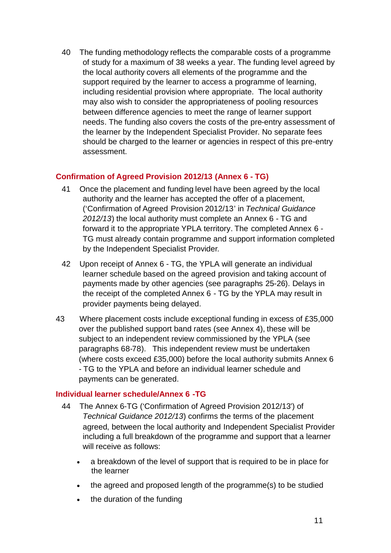40 The funding methodology reflects the comparable costs of a programme of study for a maximum of 38 weeks a year. The funding level agreed by the local authority covers all elements of the programme and the support required by the learner to access a programme of learning, including residential provision where appropriate. The local authority may also wish to consider the appropriateness of pooling resources between difference agencies to meet the range of learner support needs. The funding also covers the costs of the pre-entry assessment of the learner by the Independent Specialist Provider. No separate fees should be charged to the learner or agencies in respect of this pre-entry assessment.

#### **Confirmation of Agreed Provision 2012/13 (Annex 6 - TG)**

- 41 Once the placement and funding level have been agreed by the local authority and the learner has accepted the offer of a placement, ('Confirmation of Agreed Provision 2012/13' in *Technical Guidance 2012/13*) the local authority must complete an Annex 6 - TG and forward it to the appropriate YPLA territory. The completed Annex 6 - TG must already contain programme and support information completed by the Independent Specialist Provider*.*
- 42 Upon receipt of Annex 6 TG, the YPLA will generate an individual learner schedule based on the agreed provision and taking account of payments made by other agencies (see paragraphs 25-26). Delays in the receipt of the completed Annex 6 - TG by the YPLA may result in provider payments being delayed.
- 43 Where placement costs include exceptional funding in excess of £35,000 over the published support band rates (see Annex 4), these will be subject to an independent review commissioned by the YPLA (see paragraphs 68-78). This independent review must be undertaken (where costs exceed £35,000) before the local authority submits Annex 6 - TG to the YPLA and before an individual learner schedule and payments can be generated.

#### **Individual learner schedule/Annex 6 -TG**

- 44 The Annex 6-TG ('Confirmation of Agreed Provision 2012/13') of *Technical Guidance 2012/13*) confirms the terms of the placement agreed, between the local authority and Independent Specialist Provider including a full breakdown of the programme and support that a learner will receive as follows:
	- a breakdown of the level of support that is required to be in place for the learner
	- the agreed and proposed length of the programme(s) to be studied
	- the duration of the funding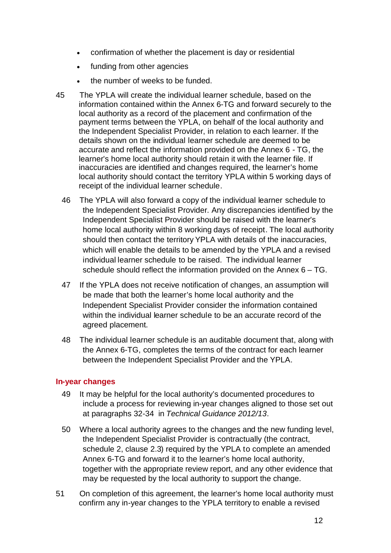- confirmation of whether the placement is day or residential
- funding from other agencies
- the number of weeks to be funded.
- 45 The YPLA will create the individual learner schedule, based on the information contained within the Annex 6-TG and forward securely to the local authority as a record of the placement and confirmation of the payment terms between the YPLA, on behalf of the local authority and the Independent Specialist Provider, in relation to each learner. If the details shown on the individual learner schedule are deemed to be accurate and reflect the information provided on the Annex 6 - TG, the learner's home local authority should retain it with the learner file. If inaccuracies are identified and changes required, the learner's home local authority should contact the territory YPLA within 5 working days of receipt of the individual learner schedule.
	- 46 The YPLA will also forward a copy of the individual learner schedule to the Independent Specialist Provider. Any discrepancies identified by the Independent Specialist Provider should be raised with the learner's home local authority within 8 working days of receipt. The local authority should then contact the territory YPLA with details of the inaccuracies, which will enable the details to be amended by the YPLA and a revised individual learner schedule to be raised. The individual learner schedule should reflect the information provided on the Annex 6 – TG.
	- 47 If the YPLA does not receive notification of changes, an assumption will be made that both the learner's home local authority and the Independent Specialist Provider consider the information contained within the individual learner schedule to be an accurate record of the agreed placement.
	- 48 The individual learner schedule is an auditable document that, along with the Annex 6-TG, completes the terms of the contract for each learner between the Independent Specialist Provider and the YPLA.

#### **In-year changes**

- 49 It may be helpful for the local authority's documented procedures to include a process for reviewing in-year changes aligned to those set out at paragraphs 32-34 in *Technical Guidance 2012/13*.
- 50 Where a local authority agrees to the changes and the new funding level, the Independent Specialist Provider is contractually (the contract, schedule 2, clause 2.3) required by the YPLA to complete an amended Annex 6-TG and forward it to the learner's home local authority, together with the appropriate review report, and any other evidence that may be requested by the local authority to support the change.
- 51 On completion of this agreement, the learner's home local authority must confirm any in-year changes to the YPLA territory to enable a revised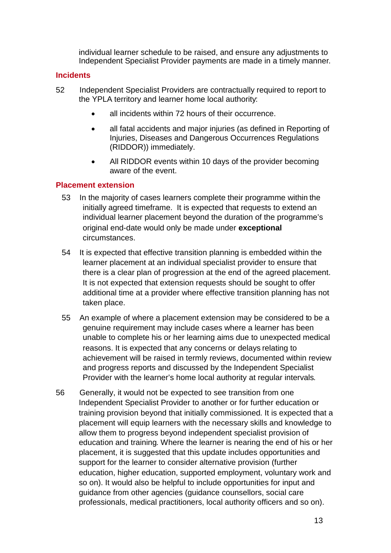individual learner schedule to be raised, and ensure any adjustments to Independent Specialist Provider payments are made in a timely manner.

#### **Incidents**

- 52 Independent Specialist Providers are contractually required to report to the YPLA territory and learner home local authority:
	- all incidents within 72 hours of their occurrence.
	- all fatal accidents and major injuries (as defined in Reporting of Injuries, Diseases and Dangerous Occurrences Regulations (RIDDOR)) immediately.
	- All RIDDOR events within 10 days of the provider becoming aware of the event.

#### **Placement extension**

- 53 In the majority of cases learners complete their programme within the initially agreed timeframe. It is expected that requests to extend an individual learner placement beyond the duration of the programme's original end-date would only be made under **exceptional** circumstances.
- 54 It is expected that effective transition planning is embedded within the learner placement at an individual specialist provider to ensure that there is a clear plan of progression at the end of the agreed placement. It is not expected that extension requests should be sought to offer additional time at a provider where effective transition planning has not taken place.
- 55 An example of where a placement extension may be considered to be a genuine requirement may include cases where a learner has been unable to complete his or her learning aims due to unexpected medical reasons. It is expected that any concerns or delays relating to achievement will be raised in termly reviews, documented within review and progress reports and discussed by the Independent Specialist Provider with the learner's home local authority at regular intervals.
- 56 Generally, it would not be expected to see transition from one Independent Specialist Provider to another or for further education or training provision beyond that initially commissioned. It is expected that a placement will equip learners with the necessary skills and knowledge to allow them to progress beyond independent specialist provision of education and training. Where the learner is nearing the end of his or her placement, it is suggested that this update includes opportunities and support for the learner to consider alternative provision (further education, higher education, supported employment, voluntary work and so on). It would also be helpful to include opportunities for input and guidance from other agencies (guidance counsellors, social care professionals, medical practitioners, local authority officers and so on).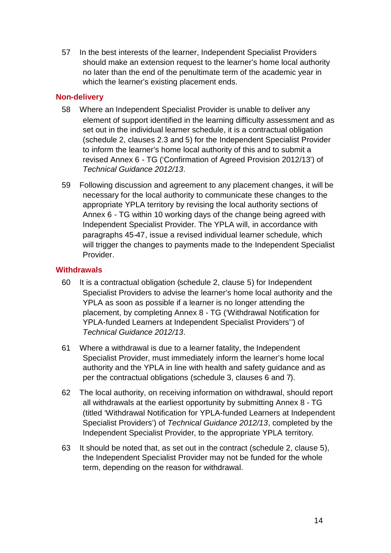57 In the best interests of the learner, Independent Specialist Providers should make an extension request to the learner's home local authority no later than the end of the penultimate term of the academic year in which the learner's existing placement ends.

#### **Non-delivery**

- 58 Where an Independent Specialist Provider is unable to deliver any element of support identified in the learning difficulty assessment and as set out in the individual learner schedule, it is a contractual obligation (schedule 2, clauses 2.3 and 5) for the Independent Specialist Provider to inform the learner's home local authority of this and to submit a revised Annex 6 - TG ('Confirmation of Agreed Provision 2012/13') of *Technical Guidance 2012/13*.
- 59 Following discussion and agreement to any placement changes, it will be necessary for the local authority to communicate these changes to the appropriate YPLA territory by revising the local authority sections of Annex 6 - TG within 10 working days of the change being agreed with Independent Specialist Provider. The YPLA will, in accordance with paragraphs 45-47, issue a revised individual learner schedule, which will trigger the changes to payments made to the Independent Specialist Provider.

#### **Withdrawals**

- 60 It is a contractual obligation (schedule 2, clause 5) for Independent Specialist Providers to advise the learner's home local authority and the YPLA as soon as possible if a learner is no longer attending the placement, by completing Annex 8 - TG ('Withdrawal Notification for YPLA-funded Learners at Independent Specialist Providers'') of *Technical Guidance 2012/13*.
- 61 Where a withdrawal is due to a learner fatality, the Independent Specialist Provider, must immediately inform the learner's home local authority and the YPLA in line with health and safety guidance and as per the contractual obligations (schedule 3, clauses 6 and 7).
- 62 The local authority, on receiving information on withdrawal, should report all withdrawals at the earliest opportunity by submitting Annex 8 - TG (titled 'Withdrawal Notification for YPLA-funded Learners at Independent Specialist Providers') of *Technical Guidance 2012/13*, completed by the Independent Specialist Provider, to the appropriate YPLA territory.
- 63 It should be noted that, as set out in the contract (schedule 2, clause 5), the Independent Specialist Provider may not be funded for the whole term, depending on the reason for withdrawal.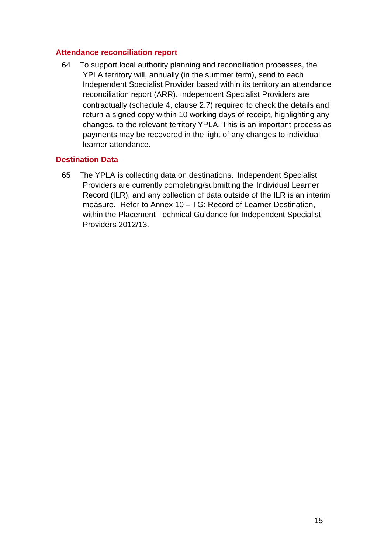#### **Attendance reconciliation report**

64 To support local authority planning and reconciliation processes, the YPLA territory will, annually (in the summer term), send to each Independent Specialist Provider based within its territory an attendance reconciliation report (ARR). Independent Specialist Providers are contractually (schedule 4, clause 2.7) required to check the details and return a signed copy within 10 working days of receipt, highlighting any changes, to the relevant territory YPLA. This is an important process as payments may be recovered in the light of any changes to individual learner attendance.

#### **Destination Data**

65 The YPLA is collecting data on destinations. Independent Specialist Providers are currently completing/submitting the Individual Learner Record (ILR), and any collection of data outside of the ILR is an interim measure. Refer to Annex 10 – TG: Record of Learner Destination, within the Placement Technical Guidance for Independent Specialist Providers 2012/13.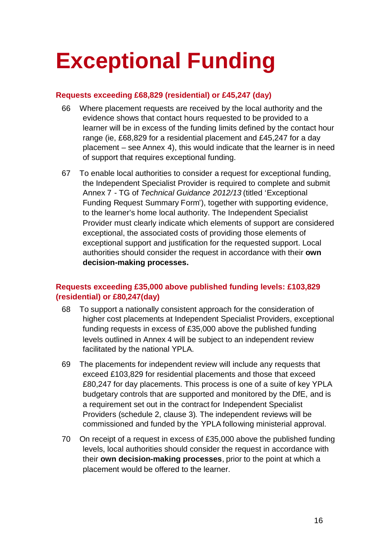# **Exceptional Funding**

#### **Requests exceeding £68,829 (residential) or £45,247 (day)**

- 66 Where placement requests are received by the local authority and the evidence shows that contact hours requested to be provided to a learner will be in excess of the funding limits defined by the contact hour range (ie, £68,829 for a residential placement and £45,247 for a day placement – see Annex 4), this would indicate that the learner is in need of support that requires exceptional funding.
- 67 To enable local authorities to consider a request for exceptional funding, the Independent Specialist Provider is required to complete and submit Annex 7 - TG of *Technical Guidance 2012/13* (titled 'Exceptional Funding Request Summary Form'), together with supporting evidence, to the learner's home local authority. The Independent Specialist Provider must clearly indicate which elements of support are considered exceptional, the associated costs of providing those elements of exceptional support and justification for the requested support. Local authorities should consider the request in accordance with their **own decision-making processes.**

#### **Requests exceeding £35,000 above published funding levels: £103,829 (residential) or £80,247(day)**

- 68 To support a nationally consistent approach for the consideration of higher cost placements at Independent Specialist Providers, exceptional funding requests in excess of £35,000 above the published funding levels outlined in Annex 4 will be subject to an independent review facilitated by the national YPLA.
- 69 The placements for independent review will include any requests that exceed £103,829 for residential placements and those that exceed £80,247 for day placements. This process is one of a suite of key YPLA budgetary controls that are supported and monitored by the DfE, and is a requirement set out in the contract for Independent Specialist Providers (schedule 2, clause 3). The independent reviews will be commissioned and funded by the YPLA following ministerial approval.
- 70 On receipt of a request in excess of £35,000 above the published funding levels, local authorities should consider the request in accordance with their **own decision-making processes**, prior to the point at which a placement would be offered to the learner.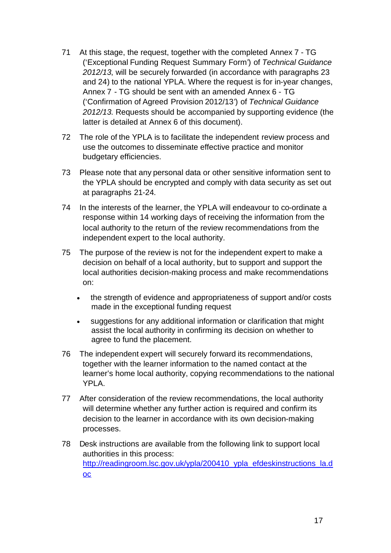- 71 At this stage, the request, together with the completed Annex 7 TG ('Exceptional Funding Request Summary Form') of *Technical Guidance 2012/13*, will be securely forwarded (in accordance with paragraphs 23 and 24) to the national YPLA. Where the request is for in-year changes, Annex 7 - TG should be sent with an amended Annex 6 - TG ('Confirmation of Agreed Provision 2012/13') of *Technical Guidance 2012/13*. Requests should be accompanied by supporting evidence (the latter is detailed at Annex 6 of this document).
- 72 The role of the YPLA is to facilitate the independent review process and use the outcomes to disseminate effective practice and monitor budgetary efficiencies.
- 73 Please note that any personal data or other sensitive information sent to the YPLA should be encrypted and comply with data security as set out at paragraphs 21-24.
- 74 In the interests of the learner, the YPLA will endeavour to co-ordinate a response within 14 working days of receiving the information from the local authority to the return of the review recommendations from the independent expert to the local authority.
- 75 The purpose of the review is not for the independent expert to make a decision on behalf of a local authority, but to support and support the local authorities decision-making process and make recommendations on:
	- the strength of evidence and appropriateness of support and/or costs made in the exceptional funding request
	- suggestions for any additional information or clarification that might assist the local authority in confirming its decision on whether to agree to fund the placement.
- 76 The independent expert will securely forward its recommendations, together with the learner information to the named contact at the learner's home local authority, copying recommendations to the national YPLA.
- 77 After consideration of the review recommendations, the local authority will determine whether any further action is required and confirm its decision to the learner in accordance with its own decision-making processes.
- 78 Desk instructions are available from the following link to support local authorities in this process: http://readingroom.lsc.gov.uk/vpla/200410\_vpla\_efdeskinstructions\_la.d oc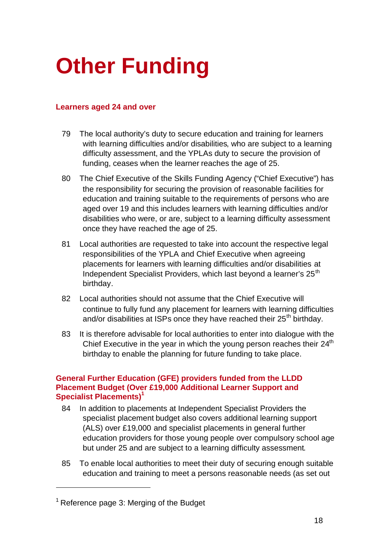# **Other Funding**

#### **Learners aged 24 and over**

- 79 The local authority's duty to secure education and training for learners with learning difficulties and/or disabilities, who are subject to a learning difficulty assessment, and the YPLAs duty to secure the provision of funding, ceases when the learner reaches the age of 25.
- 80 The Chief Executive of the Skills Funding Agency ("Chief Executive") has the responsibility for securing the provision of reasonable facilities for education and training suitable to the requirements of persons who are aged over 19 and this includes learners with learning difficulties and/or disabilities who were, or are, subject to a learning difficulty assessment once they have reached the age of 25.
- 81 Local authorities are requested to take into account the respective legal responsibilities of the YPLA and Chief Executive when agreeing placements for learners with learning difficulties and/or disabilities at Independent Specialist Providers, which last beyond a learner's 25<sup>th</sup> birthday.
- 82 Local authorities should not assume that the Chief Executive will continue to fully fund any placement for learners with learning difficulties and/or disabilities at ISPs once they have reached their  $25<sup>th</sup>$  birthday.
- 83 It is therefore advisable for local authorities to enter into dialogue with the Chief Executive in the year in which the young person reaches their 24<sup>th</sup> birthday to enable the planning for future funding to take place.

#### **General Further Education (GFE) providers funded from the LLDD Placement Budget (Over £19,000 Additional Learner Support and Specialist Placements)<sup>1</sup>**

- 84 In addition to placements at Independent Specialist Providers the specialist placement budget also covers additional learning support (ALS) over £19,000 and specialist placements in general further education providers for those young people over compulsory school age but under 25 and are subject to a learning difficulty assessment.
- 85 To enable local authorities to meet their duty of securing enough suitable education and training to meet a persons reasonable needs (as set out

 $1$  Reference page 3: Merging of the Budget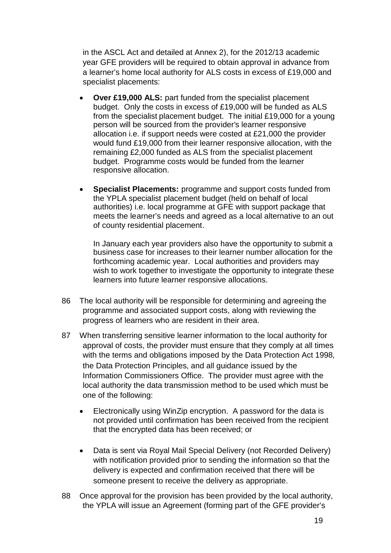in the ASCL Act and detailed at Annex 2), for the 2012/13 academic year GFE providers will be required to obtain approval in advance from a learner's home local authority for ALS costs in excess of £19,000 and specialist placements:

- **Over £19,000 ALS:** part funded from the specialist placement budget. Only the costs in excess of £19,000 will be funded as ALS from the specialist placement budget. The initial £19,000 for a young person will be sourced from the provider's learner responsive allocation i.e. if support needs were costed at £21,000 the provider would fund £19,000 from their learner responsive allocation, with the remaining £2,000 funded as ALS from the specialist placement budget. Programme costs would be funded from the learner responsive allocation.
- **Specialist Placements:** programme and support costs funded from the YPLA specialist placement budget (held on behalf of local authorities) i.e. local programme at GFE with support package that meets the learner's needs and agreed as a local alternative to an out of county residential placement.

In January each year providers also have the opportunity to submit a business case for increases to their learner number allocation for the forthcoming academic year. Local authorities and providers may wish to work together to investigate the opportunity to integrate these learners into future learner responsive allocations.

- 86 The local authority will be responsible for determining and agreeing the programme and associated support costs, along with reviewing the progress of learners who are resident in their area.
- 87 When transferring sensitive learner information to the local authority for approval of costs, the provider must ensure that they comply at all times with the terms and obligations imposed by the Data Protection Act 1998, the Data Protection Principles, and all guidance issued by the Information Commissioners Office. The provider must agree with the local authority the data transmission method to be used which must be one of the following:
	- Electronically using WinZip encryption. A password for the data is not provided until confirmation has been received from the recipient that the encrypted data has been received; or
	- Data is sent via Royal Mail Special Delivery (not Recorded Delivery) with notification provided prior to sending the information so that the delivery is expected and confirmation received that there will be someone present to receive the delivery as appropriate.
- 88 Once approval for the provision has been provided by the local authority, the YPLA will issue an Agreement (forming part of the GFE provider's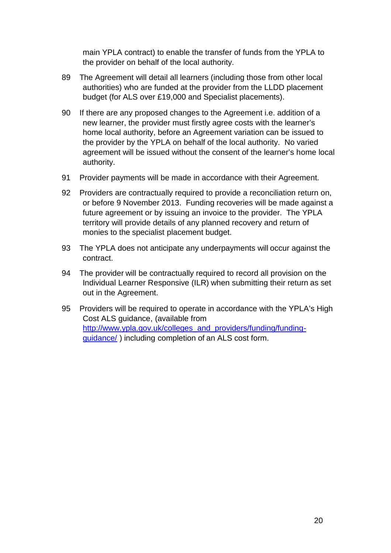main YPLA contract) to enable the transfer of funds from the YPLA to the provider on behalf of the local authority.

- 89 The Agreement will detail all learners (including those from other local authorities) who are funded at the provider from the LLDD placement budget (for ALS over £19,000 and Specialist placements).
- 90 If there are any proposed changes to the Agreement i.e. addition of a new learner, the provider must firstly agree costs with the learner's home local authority, before an Agreement variation can be issued to the provider by the YPLA on behalf of the local authority. No varied agreement will be issued without the consent of the learner's home local authority.
- 91 Provider payments will be made in accordance with their Agreement.
- 92 Providers are contractually required to provide a reconciliation return on, or before 9 November 2013. Funding recoveries will be made against a future agreement or by issuing an invoice to the provider. The YPLA territory will provide details of any planned recovery and return of monies to the specialist placement budget.
- 93 The YPLA does not anticipate any underpayments will occur against the contract.
- 94 The provider will be contractually required to record all provision on the Individual Learner Responsive (ILR) when submitting their return as set out in the Agreement.
- 95 Providers will be required to operate in accordance with the YPLA's High Cost ALS guidance, (available from http://www.ypla.gov.uk/colleges\_and\_providers/funding/fundingguidance/ ) including completion of an ALS cost form.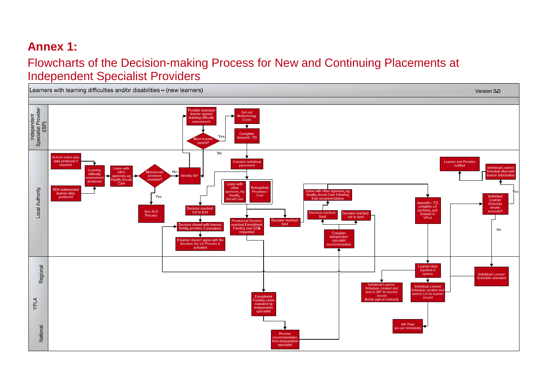## **Annex 1:**

### Flowcharts of the Decision-making Process for New and Continuing Placements at Independent Specialist Providers

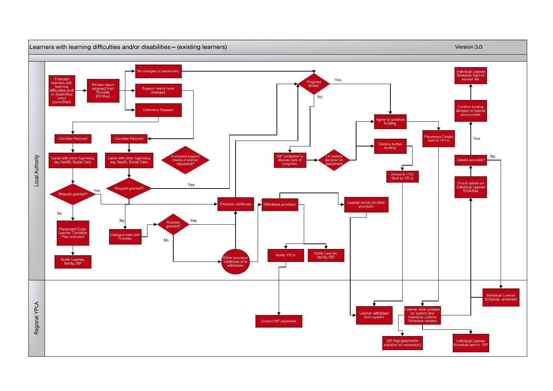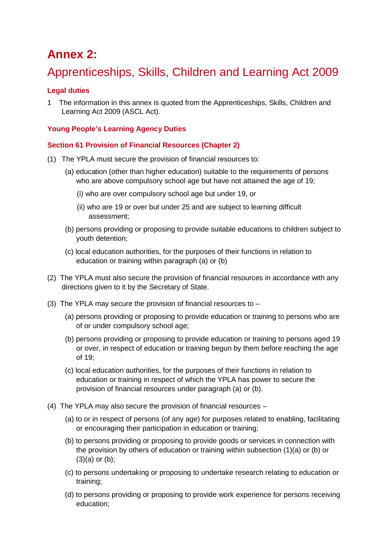### **Annex 2:**

### Apprenticeships, Skills, Children and Learning Act 2009

#### **Legal duties**

1 The information in this annex is quoted from the Apprenticeships, Skills, Children and Learning Act 2009 (ASCL Act).

#### **Young People's Learning Agency Duties**

#### **Section 61 Provision of Financial Resources (Chapter 2)**

- (1) The YPLA must secure the provision of financial resources to:
	- (a) education (other than higher education) suitable to the requirements of persons who are above compulsory school age but have not attained the age of 19;
		- (i) who are over compulsory school age but under 19, or
		- (ii) who are 19 or over but under 25 and are subject to learning difficult assessment;
	- (b) persons providing or proposing to provide suitable educations to children subject to youth detention;
	- (c) local education authorities, for the purposes of their functions in relation to education or training within paragraph (a) or (b)
- (2) The YPLA must also secure the provision of financial resources in accordance with any directions given to it by the Secretary of State.
- (3) The YPLA may secure the provision of financial resources to
	- (a) persons providing or proposing to provide education or training to persons who are of or under compulsory school age;
	- (b) persons providing or proposing to provide education or training to persons aged 19 or over, in respect of education or training begun by them before reaching the age of 19;
	- (c) local education authorities, for the purposes of their functions in relation to education or training in respect of which the YPLA has power to secure the provision of financial resources under paragraph (a) or (b).
- (4) The YPLA may also secure the provision of financial resources
	- (a) to or in respect of persons (of any age) for purposes related to enabling, facilitating or encouraging their participation in education or training;
	- (b) to persons providing or proposing to provide goods or services in connection with the provision by others of education or training within subsection (1)(a) or (b) or  $(3)(a)$  or  $(b)$ ;
	- (c) to persons undertaking or proposing to undertake research relating to education or training;
	- (d) to persons providing or proposing to provide work experience for persons receiving education;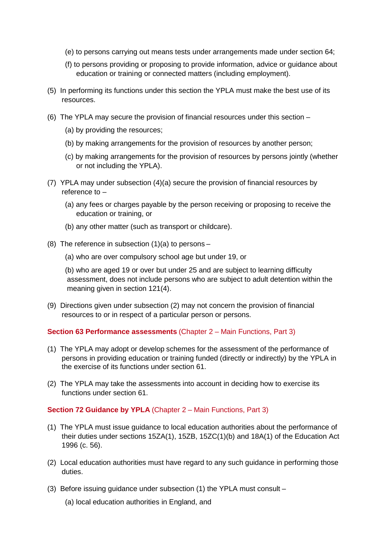- (e) to persons carrying out means tests under arrangements made under section 64;
- (f) to persons providing or proposing to provide information, advice or guidance about education or training or connected matters (including employment).
- (5) In performing its functions under this section the YPLA must make the best use of its resources.
- (6) The YPLA may secure the provision of financial resources under this section
	- (a) by providing the resources;
	- (b) by making arrangements for the provision of resources by another person;
	- (c) by making arrangements for the provision of resources by persons jointly (whether or not including the YPLA).
- (7) YPLA may under subsection (4)(a) secure the provision of financial resources by reference to –
	- (a) any fees or charges payable by the person receiving or proposing to receive the education or training, or
	- (b) any other matter (such as transport or childcare).
- (8) The reference in subsection  $(1)(a)$  to persons
	- (a) who are over compulsory school age but under 19, or
	- (b) who are aged 19 or over but under 25 and are subject to learning difficulty assessment, does not include persons who are subject to adult detention within the meaning given in section 121(4).
- (9) Directions given under subsection (2) may not concern the provision of financial resources to or in respect of a particular person or persons.

#### **Section 63 Performance assessments** (Chapter 2 – Main Functions, Part 3)

- (1) The YPLA may adopt or develop schemes for the assessment of the performance of persons in providing education or training funded (directly or indirectly) by the YPLA in the exercise of its functions under section 61.
- (2) The YPLA may take the assessments into account in deciding how to exercise its functions under section 61.

#### **Section 72 Guidance by YPLA** (Chapter 2 – Main Functions, Part 3)

- (1) The YPLA must issue guidance to local education authorities about the performance of their duties under sections 15ZA(1), 15ZB, 15ZC(1)(b) and 18A(1) of the Education Act 1996 (c. 56).
- (2) Local education authorities must have regard to any such guidance in performing those duties.
- (3) Before issuing guidance under subsection (1) the YPLA must consult
	- (a) local education authorities in England, and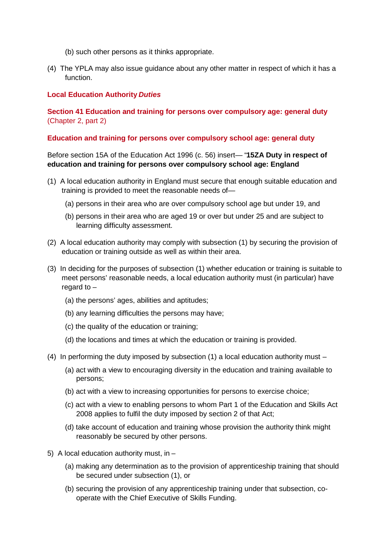- (b) such other persons as it thinks appropriate.
- (4) The YPLA may also issue guidance about any other matter in respect of which it has a function.

#### **Local Education Authority** *Duties*

#### **Section 41 Education and training for persons over compulsory age: general duty** (Chapter 2, part 2)

#### **Education and training for persons over compulsory school age: general duty**

Before section 15A of the Education Act 1996 (c. 56) insert— "**15ZA Duty in respect of education and training for persons over compulsory school age: England**

- (1) A local education authority in England must secure that enough suitable education and training is provided to meet the reasonable needs of—
	- (a) persons in their area who are over compulsory school age but under 19, and
	- (b) persons in their area who are aged 19 or over but under 25 and are subject to learning difficulty assessment.
- (2) A local education authority may comply with subsection (1) by securing the provision of education or training outside as well as within their area.
- (3) In deciding for the purposes of subsection (1) whether education or training is suitable to meet persons' reasonable needs, a local education authority must (in particular) have regard to –
	- (a) the persons' ages, abilities and aptitudes;
	- (b) any learning difficulties the persons may have;
	- (c) the quality of the education or training;
	- (d) the locations and times at which the education or training is provided.
- (4) In performing the duty imposed by subsection (1) a local education authority must
	- (a) act with a view to encouraging diversity in the education and training available to persons;
	- (b) act with a view to increasing opportunities for persons to exercise choice;
	- (c) act with a view to enabling persons to whom Part 1 of the Education and Skills Act 2008 applies to fulfil the duty imposed by section 2 of that Act;
	- (d) take account of education and training whose provision the authority think might reasonably be secured by other persons.
- 5) A local education authority must, in  $-$ 
	- (a) making any determination as to the provision of apprenticeship training that should be secured under subsection (1), or
	- (b) securing the provision of any apprenticeship training under that subsection, cooperate with the Chief Executive of Skills Funding.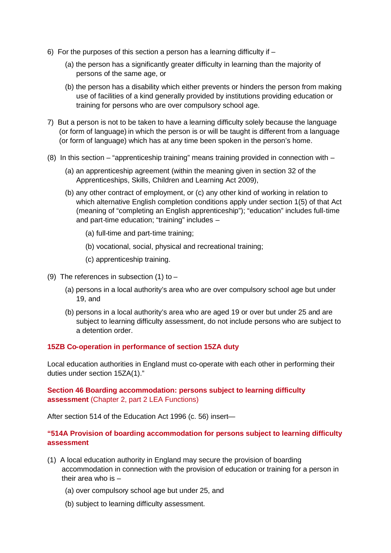- 6) For the purposes of this section a person has a learning difficulty if
	- (a) the person has a significantly greater difficulty in learning than the majority of persons of the same age, or
	- (b) the person has a disability which either prevents or hinders the person from making use of facilities of a kind generally provided by institutions providing education or training for persons who are over compulsory school age.
- 7) But a person is not to be taken to have a learning difficulty solely because the language (or form of language) in which the person is or will be taught is different from a language (or form of language) which has at any time been spoken in the person's home.
- (8) In this section "apprenticeship training" means training provided in connection with
	- (a) an apprenticeship agreement (within the meaning given in section 32 of the Apprenticeships, Skills, Children and Learning Act 2009),
	- (b) any other contract of employment, or (c) any other kind of working in relation to which alternative English completion conditions apply under section 1(5) of that Act (meaning of "completing an English apprenticeship"); "education" includes full-time and part-time education; "training" includes –
		- (a) full-time and part-time training;
		- (b) vocational, social, physical and recreational training;
		- (c) apprenticeship training.
- (9) The references in subsection (1) to  $-$ 
	- (a) persons in a local authority's area who are over compulsory school age but under 19, and
	- (b) persons in a local authority's area who are aged 19 or over but under 25 and are subject to learning difficulty assessment, do not include persons who are subject to a detention order.

#### **15ZB Co-operation in performance of section 15ZA duty**

Local education authorities in England must co-operate with each other in performing their duties under section 15ZA(1)."

**Section 46 Boarding accommodation: persons subject to learning difficulty assessment** (Chapter 2, part 2 LEA Functions)

After section 514 of the Education Act 1996 (c. 56) insert—

#### **"514A Provision of boarding accommodation for persons subject to learning difficulty assessment**

- (1) A local education authority in England may secure the provision of boarding accommodation in connection with the provision of education or training for a person in their area who is –
	- (a) over compulsory school age but under 25, and
	- (b) subject to learning difficulty assessment.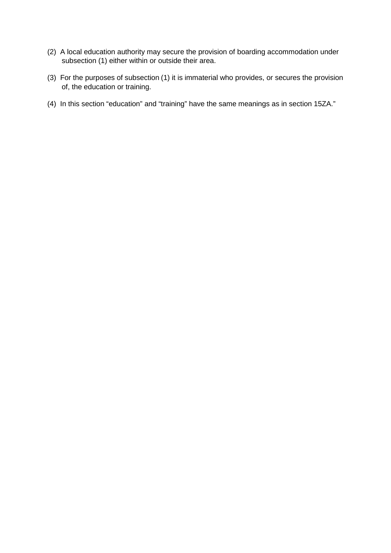- (2) A local education authority may secure the provision of boarding accommodation under subsection (1) either within or outside their area.
- (3) For the purposes of subsection (1) it is immaterial who provides, or secures the provision of, the education or training.
- (4) In this section "education" and "training" have the same meanings as in section 15ZA."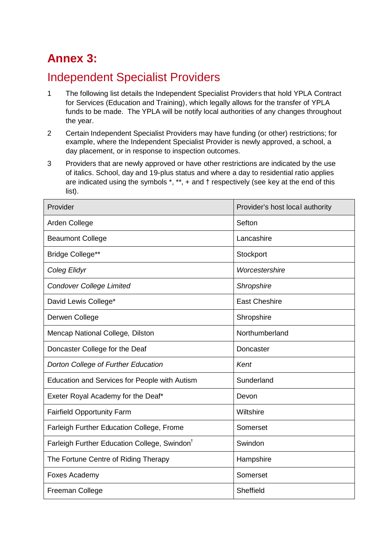## **Annex 3:**

## Independent Specialist Providers

- 1 The following list details the Independent Specialist Providers that hold YPLA Contract for Services (Education and Training), which legally allows for the transfer of YPLA funds to be made. The YPLA will be notify local authorities of any changes throughout the year.
- 2 Certain Independent Specialist Providers may have funding (or other) restrictions; for example, where the Independent Specialist Provider is newly approved, a school, a day placement, or in response to inspection outcomes.
- 3 Providers that are newly approved or have other restrictions are indicated by the use of italics. School, day and 19-plus status and where a day to residential ratio applies are indicated using the symbols \*, \*\*, + and † respectively (see key at the end of this list).

| Provider                                                 | Provider's host local authority |
|----------------------------------------------------------|---------------------------------|
| Arden College                                            | Sefton                          |
| <b>Beaumont College</b>                                  | Lancashire                      |
| Bridge College**                                         | Stockport                       |
| Coleg Elidyr                                             | Worcestershire                  |
| <b>Condover College Limited</b>                          | Shropshire                      |
| David Lewis College*                                     | <b>East Cheshire</b>            |
| Derwen College                                           | Shropshire                      |
| Mencap National College, Dilston                         | Northumberland                  |
| Doncaster College for the Deaf                           | Doncaster                       |
| Dorton College of Further Education                      | Kent                            |
| Education and Services for People with Autism            | Sunderland                      |
| Exeter Royal Academy for the Deaf*                       | Devon                           |
| <b>Fairfield Opportunity Farm</b>                        | Wiltshire                       |
| Farleigh Further Education College, Frome                | Somerset                        |
| Farleigh Further Education College, Swindon <sup>†</sup> | Swindon                         |
| The Fortune Centre of Riding Therapy                     | Hampshire                       |
| Foxes Academy                                            | Somerset                        |
| <b>Freeman College</b>                                   | Sheffield                       |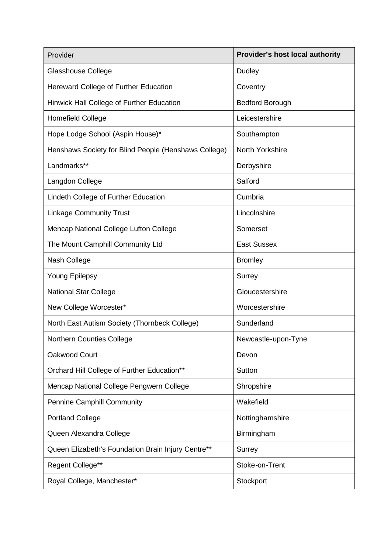| Provider                                             | <b>Provider's host local authority</b> |  |
|------------------------------------------------------|----------------------------------------|--|
| <b>Glasshouse College</b>                            | Dudley                                 |  |
| Hereward College of Further Education                | Coventry                               |  |
| Hinwick Hall College of Further Education            | <b>Bedford Borough</b>                 |  |
| <b>Homefield College</b>                             | Leicestershire                         |  |
| Hope Lodge School (Aspin House)*                     | Southampton                            |  |
| Henshaws Society for Blind People (Henshaws College) | North Yorkshire                        |  |
| Landmarks**                                          | Derbyshire                             |  |
| Langdon College                                      | Salford                                |  |
| Lindeth College of Further Education                 | Cumbria                                |  |
| <b>Linkage Community Trust</b>                       | Lincolnshire                           |  |
| Mencap National College Lufton College               | Somerset                               |  |
| The Mount Camphill Community Ltd                     | <b>East Sussex</b>                     |  |
| Nash College                                         | <b>Bromley</b>                         |  |
| <b>Young Epilepsy</b>                                | Surrey                                 |  |
| <b>National Star College</b>                         | Gloucestershire                        |  |
| New College Worcester*                               | Worcestershire                         |  |
| North East Autism Society (Thornbeck College)        | Sunderland                             |  |
| Northern Counties College                            | Newcastle-upon-Tyne                    |  |
| Oakwood Court                                        | Devon                                  |  |
| Orchard Hill College of Further Education**          | Sutton                                 |  |
| Mencap National College Pengwern College             | Shropshire                             |  |
| <b>Pennine Camphill Community</b>                    | Wakefield                              |  |
| <b>Portland College</b>                              | Nottinghamshire                        |  |
| Queen Alexandra College                              | Birmingham                             |  |
| Queen Elizabeth's Foundation Brain Injury Centre**   | Surrey                                 |  |
| Regent College**                                     | Stoke-on-Trent                         |  |
| Royal College, Manchester*                           | Stockport                              |  |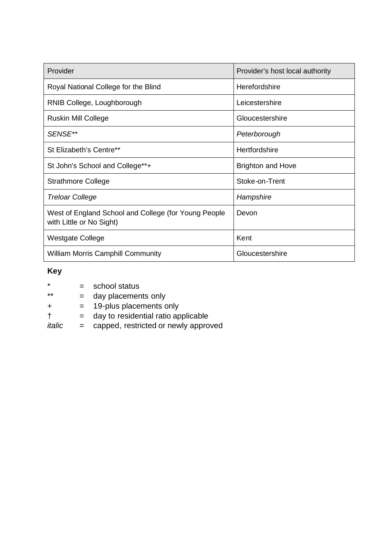| Provider                                                                         | Provider's host local authority |
|----------------------------------------------------------------------------------|---------------------------------|
| Royal National College for the Blind                                             | Herefordshire                   |
| RNIB College, Loughborough                                                       | Leicestershire                  |
| Ruskin Mill College                                                              | Gloucestershire                 |
| SENSE**                                                                          | Peterborough                    |
| St Elizabeth's Centre**                                                          | Hertfordshire                   |
| St John's School and College**+                                                  | <b>Brighton and Hove</b>        |
| <b>Strathmore College</b>                                                        | Stoke-on-Trent                  |
| <b>Treloar College</b>                                                           | Hampshire                       |
| West of England School and College (for Young People<br>with Little or No Sight) | Devon                           |
| <b>Westgate College</b>                                                          | Kent                            |
| <b>William Morris Camphill Community</b>                                         | Gloucestershire                 |

#### **Key**

- $*\begin{array}{ccc} * & = & \text{school status} \\ * & = & \text{day placement} \\ \end{array}$
- = day placements only
- + = 19-plus placements only
- † = day to residential ratio applicable
- *italic* = capped, restricted or newly approved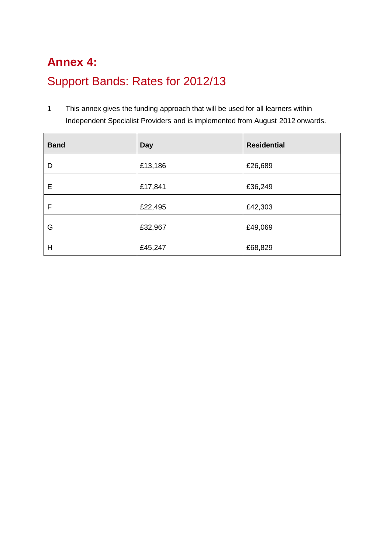## **Annex 4:** Support Bands: Rates for 2012/13

1 This annex gives the funding approach that will be used for all learners within Independent Specialist Providers and is implemented from August 2012 onwards.

| <b>Band</b> | <b>Day</b> | <b>Residential</b> |
|-------------|------------|--------------------|
| D           | £13,186    | £26,689            |
| Е           | £17,841    | £36,249            |
| F           | £22,495    | £42,303            |
| G           | £32,967    | £49,069            |
| H           | £45,247    | £68,829            |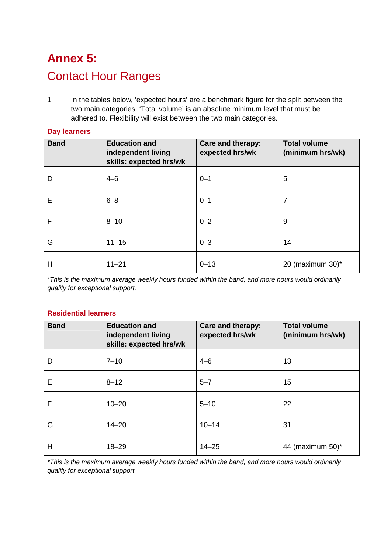## **Annex 5:** Contact Hour Ranges

1 In the tables below, 'expected hours' are a benchmark figure for the split between the two main categories. 'Total volume' is an absolute minimum level that must be adhered to. Flexibility will exist between the two main categories.

| <b>Band</b> | <b>Education and</b><br>independent living<br>skills: expected hrs/wk | Care and therapy:<br>expected hrs/wk | <b>Total volume</b><br>(minimum hrs/wk) |
|-------------|-----------------------------------------------------------------------|--------------------------------------|-----------------------------------------|
| D           | $4 - 6$                                                               | $0 - 1$                              | 5                                       |
| E           | $6 - 8$                                                               | $0 - 1$                              | 7                                       |
| F           | $8 - 10$                                                              | $0 - 2$                              | 9                                       |
| G           | $11 - 15$                                                             | $0 - 3$                              | 14                                      |
| H           | $11 - 21$                                                             | $0 - 13$                             | 20 (maximum 30) $*$                     |

#### **Day learners**

*\*This is the maximum average weekly hours funded within the band, and more hours would ordinarily qualify for exceptional support.*

#### **Residential learners**

| <b>Band</b> | <b>Education and</b><br>independent living<br>skills: expected hrs/wk | Care and therapy:<br>expected hrs/wk | <b>Total volume</b><br>(minimum hrs/wk) |
|-------------|-----------------------------------------------------------------------|--------------------------------------|-----------------------------------------|
| D           | $7 - 10$                                                              | $4 - 6$                              | 13                                      |
| E           | $8 - 12$                                                              | $5 - 7$                              | 15                                      |
| F           | $10 - 20$                                                             | $5 - 10$                             | 22                                      |
| G           | $14 - 20$                                                             | $10 - 14$                            | 31                                      |
| Н           | $18 - 29$                                                             | $14 - 25$                            | 44 (maximum 50)*                        |

*\*This is the maximum average weekly hours funded within the band, and more hours would ordinarily qualify for exceptional support.*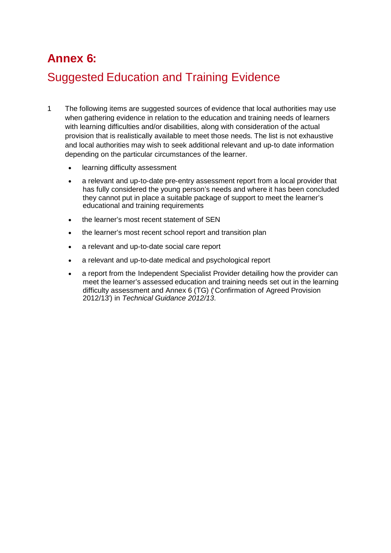## **Annex 6:**

## Suggested Education and Training Evidence

- 1 The following items are suggested sources of evidence that local authorities may use when gathering evidence in relation to the education and training needs of learners with learning difficulties and/or disabilities, along with consideration of the actual provision that is realistically available to meet those needs. The list is not exhaustive and local authorities may wish to seek additional relevant and up-to date information depending on the particular circumstances of the learner.
	- learning difficulty assessment
	- a relevant and up-to-date pre-entry assessment report from a local provider that has fully considered the young person's needs and where it has been concluded they cannot put in place a suitable package of support to meet the learner's educational and training requirements
	- the learner's most recent statement of SEN
	- the learner's most recent school report and transition plan
	- a relevant and up-to-date social care report
	- a relevant and up-to-date medical and psychological report
	- a report from the Independent Specialist Provider detailing how the provider can meet the learner's assessed education and training needs set out in the learning difficulty assessment and Annex 6 (TG) ('Confirmation of Agreed Provision 2012/13') in *Technical Guidance 2012/13.*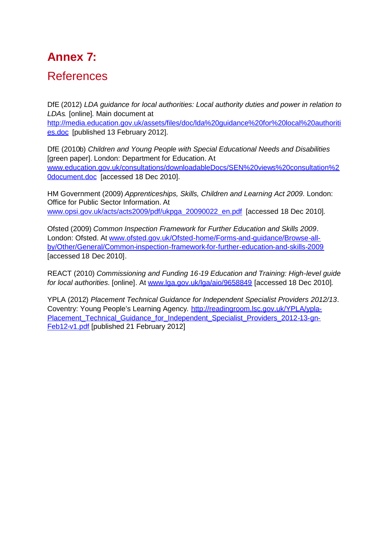## **Annex 7:**

### References

DfE (2012) *LDA guidance for local authorities: Local authority duties and power in relation to LDAs.* [online]. Main document at

http://media.education.gov.uk/assets/files/doc/lda%20guidance%20for%20local%20authoriti es.doc [published 13 February 2012].

DfE (2010b) *Children and Young People with Special Educational Needs and Disabilities* [green paper]. London: Department for Education. At www.education.gov.uk/consultations/downloadableDocs/SEN%20views%20consultation%2 0document.doc [accessed 18 Dec 2010].

HM Government (2009) *Apprenticeships, Skills, Children and Learning Act 2009.* London: Office for Public Sector Information. At www.opsi.gov.uk/acts/acts2009/pdf/ukpga\_20090022\_en.pdf [accessed 18 Dec 2010].

Ofsted (2009) *Common Inspection Framework for Further Education and Skills 2009*. London: Ofsted. At www.ofsted.gov.uk/Ofsted-home/Forms-and-guidance/Browse-allby/Other/General/Common-inspection-framework-for-further-education-and-skills-2009 [accessed 18 Dec 2010].

REACT (2010) *Commissioning and Funding 16-19 Education and Training: High-level guide for local authorities*. [online]. At www.lga.gov.uk/lga/aio/9658849 [accessed 18 Dec 2010].

YPLA (2012) *Placement Technical Guidance for Independent Specialist Providers 2012/13*. Coventry: Young People's Learning Agency. http://readingroom.lsc.gov.uk/YPLA/ypla-Placement\_Technical\_Guidance\_for\_Independent\_Specialist\_Providers\_2012-13-gn-Feb12-v1.pdf [published 21 February 2012]